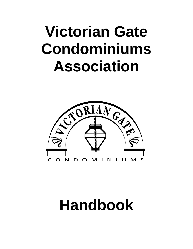# **Victorian Gate Condominiums Association**



# **Handbook**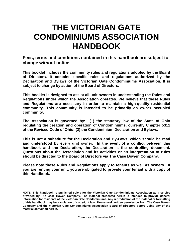# **THE VICTORIAN GATE CONDOMINIUMS ASSOCIATION HANDBOOK**

#### **Fees, terms and conditions contained in this handbook are subject to change without notice.**

**This booklet includes the community rules and regulations adopted by the Board of Directors. It contains specific rules and regulations authorized by the Declaration and Bylaws of the Victorian Gate Condominiums Association. It is subject to change by action of the Board of Directors.**

**This booklet is designed to assist all unit owners in understanding the Rules and Regulations under which the Association operates. We believe that these Rules and Regulations are necessary in order to maintain a high-quality residential community. This community is intended to be primarily an owner occupied community.** 

**The Association is governed by: (1) the statutory law of the State of Ohio regulating the creation and operation of Condominiums, currently Chapter 5311 of the Revised Code of Ohio; (2) the Condominium Declaration and Bylaws.**

**This is not a substitute for the Declaration and By-Laws, which should be read and understood by every unit owner. In the event of a conflict between this handbook and the Declaration, the Declaration is the controlling document. Questions about the Association and its activities or an interpretation of rules should be directed to the Board of Directors via The Case Bowen Company.**

**Please note these Rules and Regulations apply to tenants as well as owners. If you are renting your unit, you are obligated to provide your tenant with a copy of this Handbook.**

Current as of November 2015

**NOTE: This handbook is published solely for the Victorian Gate Condominiums Association as a service provided by The Case Bowen Company. The material presented herein is intended to provide general information for residents of the Victorian Gate Condominiums. Any reproduction of the material or formatting of this handbook may be a violation of copyright law. Please seek written permission from The Case Bowen Company and the Victorian Gate Condominiums Association Board of Directors before using any of the material contained herein.**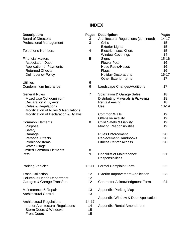# **INDEX**

| <b>Description:</b>                       | Page:          | <b>Description:</b>                                 | Page:           |
|-------------------------------------------|----------------|-----------------------------------------------------|-----------------|
| <b>Board of Directors</b>                 | 3              | Architectural Regulations (continued)               | $14 - 17$       |
| <b>Professional Management</b>            | 3              | Grills                                              | 15              |
|                                           |                | <b>Exterior Lights</b>                              | 15 <sub>2</sub> |
| <b>Telephone Numbers</b>                  | 4              | <b>Electric Insect Killers</b>                      | 15              |
|                                           |                | <b>Window Coverings</b>                             | 14              |
| <b>Financial Matters</b>                  | 5              | Signs                                               | $15 - 16$       |
| <b>Association Dues</b>                   |                | <b>Flower Pots</b>                                  | 16              |
| <b>Application of Payments</b>            |                | <b>Hose Reels/Hoses</b>                             | 16              |
| <b>Returned Checks</b>                    |                | Flags                                               | 16              |
| <b>Delinquency Policy</b>                 |                | <b>Holiday Decorations</b>                          | $16 - 17$       |
|                                           |                | <b>Other Exterior Items</b>                         | 17              |
| <b>Utilities</b>                          | 6              |                                                     |                 |
| Condominium Insurance                     | 6              | Landscape Changes/Additions                         | 17              |
| <b>General Rules</b>                      | $\overline{7}$ | <b>Solicitation &amp; Garage Sales</b>              | 18              |
| Mixed Use Condominium                     |                | Distributing Materials & Picketing                  | 18              |
| Declaration & Bylaws                      |                | Rental/Leasing                                      | 18              |
| <b>Rules &amp; Regulations</b>            |                | Use                                                 | 18-19           |
| Modification of Rules & Regulations       |                |                                                     |                 |
| Modification of Declaration & Bylaws      |                | <b>Common Walls</b>                                 | 19              |
|                                           |                | <b>Offensive Activity</b>                           | 19              |
| <b>Common Elements</b>                    | 8              | Child Safety & Liability                            | 19              |
| Purpose                                   |                | <b>Moving Responsibilities</b>                      | 19              |
| Safety                                    |                |                                                     |                 |
| Damage                                    |                | <b>Rules Enforcement</b>                            | 20              |
| <b>Personal Effects</b>                   |                | <b>Replacement Handbooks</b>                        | 20              |
| <b>Prohibited Items</b>                   |                | <b>Fitness Center Access</b>                        | 20              |
| <b>Water Usage</b>                        |                |                                                     |                 |
| <b>Limited Common Elements</b>            | 8              |                                                     |                 |
| Pets                                      | 9              | <b>Checklist of Maintenance</b><br>Responsibilities | 21              |
|                                           |                |                                                     |                 |
| Parking/Vehicles                          | $10 - 11$      | <b>Formal Complaint Form</b>                        | 22              |
| <b>Trash Collection</b>                   | 12             | <b>Exterior Improvement Application</b>             | 23              |
| <b>Columbus Health Department</b>         | 12             |                                                     |                 |
| Garages & Garage Transfers                | 12             | <b>Contractor Acknowledgment Form</b>               | 24              |
| Maintenance & Repair                      | 13             | Appendix: Parking Map                               |                 |
| <b>Architectural Control</b>              | 13             |                                                     |                 |
|                                           |                | Appendix: Window & Door Application                 |                 |
| <b>Architectural Regulations</b>          | $14 - 17$      |                                                     |                 |
| <b>Interior Architectural Regulations</b> | 14             | Appendix: Rental Amendment                          |                 |
| <b>Storm Doors &amp; Windows</b>          | 15             |                                                     |                 |
| <b>Front Doors</b>                        | 15             |                                                     |                 |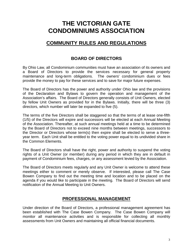# **THE VICTORIAN GATE CONDOMINIUMS ASSOCIATION**

# **COMMUNITY RULES AND REGULATIONS**

# **BOARD OF DIRECTORS**

By Ohio Law, all Condominium communities must have an association of its owners and a Board of Directors to provide the services necessary for general property maintenance and long-term obligations. The owners' condominium dues or fees provide the money to pay for these services and to save for major future expenses.

The Board of Directors has the power and authority under Ohio law and the provisions of the Declaration and Bylaws to govern the operation and management of the Association's affairs. The Board of Directors generally consists of Unit Owners, elected by fellow Unit Owners as provided for in the Bylaws. Initially, there will be three (3) directors, which number will later be expanded to five (5).

The terms of the five Directors shall be staggered so that the terms of at lease one-fifth (1/5) of the Directors will expire and successors will be elected at each Annual Meeting of the Association. Thereafter, at such annual meetings held at a time to be determined by the Board of Directors not to exceed nine months between meetings, successors to the Director or Directors whose term(s) then expire shall be elected to serve a threeyear term. Each Unit shall be entitled to the voting power equal to its undivided share in the Common Elements.

The Board of Directors shall have the right, power and authority to suspend the voting rights of a Unit Owner (or member) during any period in which they are in default in payment of Condominium fees, charges, or any assessment levied by the Association.

The Board of Directors meets regularly and any Unit Owner is welcome to attend these meetings either to comment or merely observe. If interested, please call The Case Bowen Company to find out the meeting time and location and to be placed on the agenda if you would like to participate in the meeting. The Board of Directors will send notification of the Annual Meeting to Unit Owners.

### **PROFESSIONAL MANAGEMENT**

Under direction of the Board of Directors, a professional management agreement has been established with The Case Bowen Company. The Case Bowen Company will monitor all maintenance activities and is responsible for collecting all monthly assessments from Unit Owners and maintaining all official financial documents.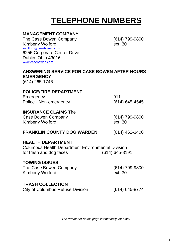# **TELEPHONE NUMBERS**

# **MANAGEMENT COMPANY**

The Case Bowen Company (614) 799-9800 Kimberly Wolford **Ext. 30** kwolford[@casebowen.com](mailto:kfriend@casebowen.com) 6255 Corporate Center Drive Dublin, Ohio 43016 [www.casebowen.com](http://www.casebowen.com/)

# **ANSWERING SERVICE FOR CASE BOWEN AFTER HOURS EMERGENCY**

(614) 265-1746

# **POLICE/FIRE DEPARTMENT**

Emergency 911 Police - Non-emergency (614) 645-4545

### **INSURANCE CLAIMS** The

Case Bowen Company Kimberly Wolford **Ext. 30** 

(614) 799-9800

#### **FRANKLIN COUNTY DOG WARDEN** (614) 462-3400

### **HEALTH DEPARTMENT**

Columbus Health Department Environmental Division for trash and dog feces (614) 645-8191

#### **TOWING ISSUES**

The Case Bowen Company Kimberly Wolford **Ext. 30** 

(614) 799-9800

#### **TRASH COLLECTION**

City of Columbus Refuse Division (614) 645-8774

*The remainder of this page intentionally left blank.*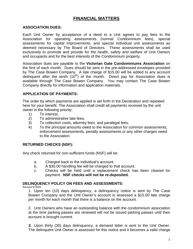# **FINANCIAL MATTERS**

#### **ASSOCIATION DUES:**

Each Unit Owner by acceptance of a deed to a Unit agrees to pay fees to the Association for operating assessments (normal Condominium fees), special assessments for capital improvements, and special individual unit assessments as deemed necessary by The Board of Directors. These assessments shall be used exclusively to promote and provide for the health, safety and welfare of Unit Owners and occupants and for the best interests of the Condominium property.

Association dues are payable to the **Victorian Gate Condominiums Association** on the first of each month. Dues should be sent in the pre-addressed envelopes provided by The Case Bowen Company. A late charge of \$15.00 will be added to any account delinquent after the tenth  $(10<sup>th</sup>)$  of the month. Direct pay for Association dues is available through The Case Bowen Company. You may contact The Case Bowen Company directly for information and application materials.

#### **APPLICATION OF PAYMENTS:**

The order by which payments are applied is set forth in the Declaration and repeated here for your benefit. The Association shall credit all payments received by the unit owner in the following priority:

- 1) To interest,
- 2) To administrative late fees,
- 3) To collection costs, attorney fees, and paralegal fees,
- 4) To the principal amounts owed to the Association for common assessments, enforcement assessments, penalty assessments or any other charges owed to the Association

#### **RETURNED CHECKS (NSF):**

Any check returned for non-sufficient funds (NSF) will be:

- a. Charged back to the individual's account.
- b. A \$30.00 handling fee will be charged to that account.
- c. Checks will be held until a replacement check has been cleared for payment. **NSF checks will not be re-deposited.**

#### **DELINQUENCY POLICY ON FEES AND ASSESSMENTS:**

Revised 5/19/09

1. Upon ten (10) days delinquency, a delinquency notice is sent by The Case Bowen Company and the Unit Owner's account is assessed a \$15.00 late charge per month for each month that there is a balance on the account.

2. Unit Owners who have an outstanding balance with the condominium association at the time parking passes are renewed will not be issued parking passes until their account is brought current.

*3.* Upon thirty (30) days delinquency, a demand letter is sent to the Unit Owner. The delinquent Unit Owner is assessed for this notice and it becomes a valid charge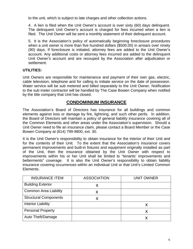to the unit, which is subject to late charges and other collection actions.

4. A lien is filed when the Unit Owner's account is over sixty (60) days delinquent. The delinquent Unit Owner's account is charged for fees incurred when a lien is filed. The Unit Owner will be sent a monthly statement of their delinquent account.

5. It is the Association's policy of automatically beginning foreclosure procedures when a unit owner is more than five hundred dollars (\$500.00) in arrears over ninety (90) days. If foreclosure is initiated, attorney fees are added to the Unit Owner's account. Any additional costs or attorney fees incurred are added to the delinquent Unit Owner's account and are recouped by the Association after adjudication or settlement.

#### **UTILITIES:**

Unit Owners are responsible for maintenance and payment of their own gas, electric, cable television, telephone and for calling to initiate service on the date of possession. Water service will be sub metered and billed separately to the Unit Owner. Notification to the sub meter contractor will be handled by The Case Bowen Company when notified by the title company that Unit has closed.

#### **CONDOMINIUM INSURANCE**

The Association's Board of Directors has insurance for all buildings and common elements against loss or damage by fire, lightning, and such other perils. In addition, the Board of Directors will maintain a policy of general liability insurance covering all of the Common Elements and other areas under the Association's supervision. Should a Unit Owner need to file an insurance claim, please contact a Board Member or the Case Bowen Company at (614) 799-9800, ext. 30.

It is the Unit Owner's responsibility to obtain insurance for the interior of their Unit and for the contents of their Unit. To the extent that the Association's insurance covers permanent improvements and built-in fixtures and equipment originally installed as part of the Unit, then the insurance obtained by the Unit Owner with respect to improvements within his or her Unit shall be limited to "tenants' improvements and betterments" coverage. It is also the Unit Owner's responsibility to obtain liability insurance covering occurrences within an individual Unit or that Unit's Limited Common Elements.

| <b>INSURANCE ITEM</b>        | <b>ASSOCIATION</b> | <b>UNIT OWNER</b> |
|------------------------------|--------------------|-------------------|
| <b>Building Exterior</b>     | X                  |                   |
| <b>Common Area Liability</b> | Х                  |                   |
| <b>Structural Components</b> |                    |                   |
| <b>Interior Liability</b>    |                    | Х                 |
| <b>Personal Property</b>     |                    | Х                 |
| Auto Theft/Damage            |                    | Χ                 |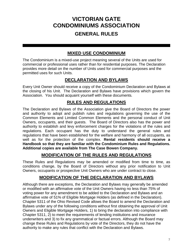# **VICTORIAN GATE CONDOMINIUMS ASSOCIATION GENERAL RULES**

# **MIXED USE CONDOMINIUM**

The Condominium is a mixed-use project meaning several of the Units are used for commercial or professional uses rather than for residential purposes. The Declaration provides more detail on the number of Units used for commercial purposes and the permitted uses for such Units.

# **DECLARATION AND BYLAWS**

Every Unit Owner should receive a copy of the Condominium Declaration and Bylaws at the closing of his Unit. The Declaration and Bylaws have provisions which govern the Association. You should acquaint yourself with these documents*.*

# **RULES AND REGULATIONS**

The Declaration and Bylaws of the Association give the Board of Directors the power and authority to adopt and publish rules and regulations governing the use of the Common Elements and Limited Common Elements and the personal conduct of Unit Owners, occupants, and their guests. The Board of Directors also has the power and authority to establish and levy enforcement charges for the violations of the rules and regulations. Each occupant has the duty to understand the general rules and regulations that have been established for the welfare and harmony of all occupants, as well as for the protection of the complex. **Rental residents should receive a Handbook so that they are familiar with the Condominium Rules and Regulations. Additional copies are available from The Case Bowen Company.**

### **MODIFICATION OF THE RULES AND REGULATIONS**

These Rules and Regulations may be amended or modified from time to time, as conditions change, by the Board of Directors without any prior notification to Unit Owners, occupants or prospective Unit Owners who are under contract to close.

# **MODIFICATION OF THE DECLARATION AND BYLAWS**

Although there are exceptions, the Declaration and Bylaws may generally be amended or modified with an affirmative vote of the Unit Owners having no less than 75% of voting power for any amendment to be added to the Declaration and Bylaws and an affirmative vote of 51% of Eligible Mortgage Holders (as defined in the Declaration). Chapter 5311 of the Ohio Revised Code allows the Board to amend the Declaration and Bylaws under any of the following conditions without first obtaining the approval of Unit Owners and Eligible Mortgage Holders, 1) to bring the declaration into compliance with Chapter 5311, 2) to meet the requirements of lending institutions and insurance underwriters and 3) to fix any grammatical or factual errors. Although the Board may change these Rules and Regulations by vote of the Directors, they do not have the authority to make any rules that conflict with the Declaration and Bylaws.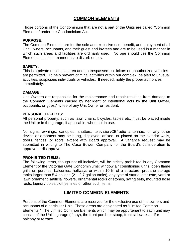# **COMMON ELEMENTS**

Those portions of the Condominium that are not a part of the Units are called "Common Elements" under the Condominium Act.

#### **PURPOSE:**

The Common Elements are for the sole and exclusive use, benefit, and enjoyment of all Unit Owners, occupants, and their guest and invitees and are to be used in a manner in which such areas and facilities are ordinarily used. No one should use the Common Elements in such a manner as to disturb others.

#### **SAFETY:**

This is a private residential area and no trespassers, solicitors or unauthorized vehicles are permitted. To help prevent criminal activities within our complex, be alert to unusual activities, suspicious individuals or vehicles. If needed, notify the proper authorities immediately.

#### **DAMAGE:**

Unit Owners are responsible for the maintenance and repair resulting from damage to the Common Elements caused by negligent or intentional acts by the Unit Owner, occupants, or guest/invitee of any Unit Owner or resident.

#### **PERSONAL EFFECTS:**

All personal property, such as lawn chairs, bicycles, tables etc. must be placed inside the Unit or in the garage, if applicable, when not in use.

No signs, awnings, canopies, shutters, television/CB/radio antennae, or any other device or ornament may be hung, displayed, affixed, or placed on the exterior walls, doors, fences, or roofs, except with Board approval. A variance request may be submitted in writing to The Case Bowen Company for the Board's consideration to approve or disapprove.

#### **PROHIBITED ITEMS:**

The following items, though not all inclusive, will be strictly prohibited in any Common Element of the Victorian Gate Condominiums: window air conditioning units, open flame grills on porches, balconies, hallways or within 10 ft. of a structure, propane storage tanks larger than 5.4 gallons  $(2 - 2.7)$  gallon tanks), any type of statue, statuette, yard or lawn ornament, artificial flowers, ornamental rocks or stones, swing sets, mounted hose reels, laundry poles/clothes lines or other such items.

#### **LIMITED COMMON ELEMENTS**

Portions of the Common Elements are reserved for the exclusive use of the owners and occupants of a particular Unit. These areas are designated as "Limited Common Elements." The Limited Common Elements which may be appurtenant to each unit may consist of the Unit's garage (if any), the front porch or stoop, front sidewalk and/or balcony or terrace.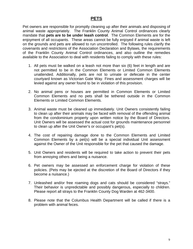#### **PETS**

Pet owners are responsible for promptly cleaning up after their animals and disposing of animal waste appropriately. The Franklin County Animal Control ordinances clearly mandate that **pets are to be under leash control**. The Common Elements are for the enjoyment of all occupants. These areas cannot be fully enjoyed if animal waste is left on the grounds and pets are allowed to run uncontrolled. The following rules clarify the covenants and restrictions of the Association Declaration and Bylaws, the requirements of the Franklin County Animal Control ordinances, and also outline the remedies available to the Association to deal with residents failing to comply with these rules:

- 1. All pets must be walked on a leash not more than six (6) feet in length and are not permitted to be in the Common Elements or Limited Common Elements unattended. Additionally, pets are not to urinate or defecate in the center courtyard known as Victorian Gate Way. Fines and assessment charges will be levied against any owner found to be in violation of this provision.
- 2. No animal pens or houses are permitted in Common Elements or Limited Common Elements and no pets shall be tethered outside in the Common Elements or Limited Common Elements.
- 3. Animal waste must be cleaned up immediately. Unit Owners consistently failing to clean up after their animals may be faced with removal of the offending animal from the condominium property upon written notice by the Board of Directors. Unit Owners will be assessed the actual cost for grounds maintenance personnel to clean up after the Unit Owner's or occupant's pet(s).
- 4. The cost of repairing damage done to the Common Elements and Limited Common Elements by a pet(s) will be a special individual Unit assessment against the Owner of the Unit responsible for the pet that caused the damage.
- 5. Unit Owners and residents will be required to take action to prevent their pets from annoying others and being a nuisance.
- 6. Pet owners may be assessed an enforcement charge for violation of these policies. (Pets may be ejected at the discretion of the Board of Directors if they become a nuisance.)
- 7. Unleashed and/or free roaming dogs and cats should be considered "strays." Their behavior is unpredictable and possibly dangerous, especially to children. Please report all strays to the Franklin County Dog Warden at 462-3400.
- 8. Please note that the Columbus Health Department will be called if there is a problem with animal feces.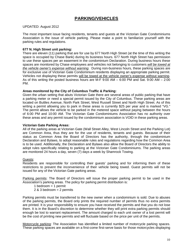# **PARKING/VEHICLES**

#### UPDATED: August 2012

The most important issue facing residents, tenants and guests at the Victorian Gate Condominiums Association is the issue of vehicle parking. Please make a point to familiarize yourself with the parking rules and regulations.

#### **677 N. High Street unit parking:**

There are eleven (11) parking that are for use by 677 North High Street (at the time of this writing the space is occupied by Chase Bank) during its business hours. 677 North High Street has permission to use these spaces per an easement in the condominium Declaration. During business hours these spaces are monitored by Chase employees and vehicles not belonging to customers *will be towed at the vehicle owner's expense without warning*. During non-business hours, these parking spaces are for exclusive use of Victorian Gate Condominium residents displaying an appropriate parking permit. Vehicles not displaying these permits will be towed at the vehicle owner's expense without warning. As of this writing the posted business hours are M-F 9:00 AM – 6:00 PM and Sat. 9:00 AM – 2:00 PM.

#### **Areas monitored by the City of Columbus Traffic & Parking:**

Given the urban setting that abuts Victorian Gate there are several areas of public parking that have a parking meter or need a special permit issued by the City of Columbus. These parking areas are located on Buttles Avenue, North Park Street, West Russell Street and North High Street. As of this writing a permit allowing you to park in these areas is currently \$25 per year and is marked "VG." The permit allows the vehicle to be parked in the metered space without paying between the hours of 6:00 PM and 10:00 AM. The Victorian Gate Condominiums Association has no authority over these areas and any permit issued by the condominium association is VOID in these parking areas.

#### **Victorian Gate Parking Areas:**

All of the parking areas at Victorian Gate (Wall Street Alley, West Lincoln Street and the Parking Lot) are Common Area, thus they are for the use of residents, tenants and guests. Because of their status as Common Area the Board of Directors has the authority, through the condominium Declaration and Bylaws, to adopt reasonable rules and regulations regarding how the Common Area is to be used. Additionally, the Declaration and Bylaws also allow the Board of Directors the ability to adopt rules specifically relating to parking at the Victorian Gate Condominiums. The parking areas are monitored 24 hours a day, seven (7) days a week by Shamrock Towing.

#### Guests:

Residents are responsible for controlling their guests' parking and for informing them of these restrictions to prevent the inconvenience of their vehicle being towed. Guest permits will not be issued for any of the Victorian Gate parking areas.

Parking permits: The Board of Directors will issue the proper parking permit to be used in the Association's parking areas. The policy for parking permit distribution is:

1 bedroom  $=$  1 permit

2 & 3 bedroom = 2 permits

Parking permits must be transferred to the new owner when a condominium is sold. Due to abuses of the parking permits, the Board only prints the required number of permits thus no extra permits are printed. It is your responsibility to ensure you have received the permits and that you do not lose them. It is in the Board's discretion to determine whether they will print extra parking permits should enough be lost to warrant replacement. The amount charged to each unit owner of a lost permit will be the cost of printing new permits and will fluctuate based on the price per unit of the permits.

Motorcycle parking: The Association has identified a limited number of motorcycle parking spaces. These parking spaces are available on a first-come first-serve basis for those motorcycles displaying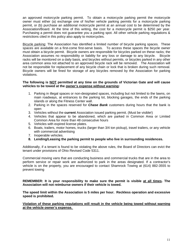an approved motorcycle parking permit. To obtain a motorcycle parking permit the motorcycle owner must either (a) exchange one of his/her vehicle parking permits for a motorcycle parking permit, or (b) purchase an additional motorcycle permit at an annual cost to be determined by the Association/Board. At the time of this writing, the cost for a motorcycle permit is \$250 per year. Purchasing a permit does not guarantee you a parking spot. All other vehicle parking regulations & restrictions cited in this policy also apply to motorcycles.

Bicycle parking: The Association has identified a limited number of bicycle parking spaces. These spaces are available on a first-come first-serve basis. To access these spaces the bicycle owner must obtain a bicycle permit. Bicycle owners are responsible for bicycles parked on these racks; the Association assumes no responsibility or liability for any loss or damage to any bicycle. Bicycle racks will be monitored on a daily basis, and bicycles without permits, or bicycles parked in any other area common area not attached to an approved bicycle rack will be removed. The Association will not be responsible for replacement of any bicycle chain or lock that is broken during such removal. Bicycle owners will be fined for storage of any bicycles removed by the Association for parking violations.

#### **The following is NOT permitted at any time on the grounds of Victorian Gate and will cause vehicles to be towed at the owner's expense without warning:**

- 1. Parking in illegal spaces or non-designated spaces, including but not limited to the lawns, on main roadways, at entrances to the parking lot, blocking garages, the ends of the parking islands or along the Fitness Center wall.
- 2. Parking in the spaces reserved for *Chase Bank* customers during hours that the bank is open
- 3. Vehicles without the **current** Association issued parking permit. (Must be visible!)
- 4. Vehicles that appear to be abandoned, which are parked in Common Area or Limited Common Area for more than 48 consecutive hours
- 5. Vehicles with expired license plates.
- 6. Boats, trailers, motor homes, trucks (larger than 3/4 ton pickup), travel trailers, or any vehicle with commercial advertising
- 7. Inoperable vehicles.
- **8. Lending/Leasing the parking permit to people who live in surrounding residences.**

Additionally, if a tenant is found to be violating the above rules, the Board of Directors can evict the tenant under provisions of Ohio Revised Code 5311.

Commercial moving vans that are conducting business and commercial trucks that are in the area to perform service or repair work are authorized to park in the areas designated. If a contractor's vehicle is on the property, you are encouraged to contact Shamrock Towing at (614) 882-3555 to prevent towing

**REMEMBER: It is your responsibility to make sure the permit is visible at all times. The Association will not reimburse owners if their vehicle is towed.**

**The speed limit within the Association is 5 miles per hour. Reckless operation and excessive speed is prohibited.**

**Violation of these parking regulations will result in the vehicle being towed without warning at the vehicle owner's expense.**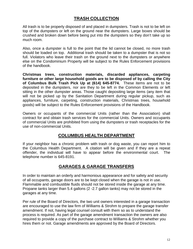# **TRASH COLLECTION**

All trash is to be properly disposed of and placed in dumpsters. Trash is not to be left on top of the dumpsters or left on the ground near the dumpsters. Large boxes should be crushed and broken down before being put into the dumpsters so they don't take up so much room.

Also, once a dumpster is full to the point that the lid cannot be closed, no more trash should be loaded on top. Additional trash should be taken to a dumpster that is not so full. Violators who leave their trash on the ground next to the dumpsters or anywhere else on the Condominium Property will be subject to the Rules Enforcement provisions of the handbook.

**Christmas trees, construction materials, discarded appliances, carpeting furniture or other large household goods are to be disposed of by calling the City of Columbus Bulk Trash Pick Up at (614) 645-8774.** These items are not to be deposited in the dumpsters, nor are they to be left in the Common Elements or left sitting in the other dumpster areas. Those caught depositing large items (any item that will not be picked up by the Sanitation Department during regular pickup, such as appliances, furniture, carpeting, construction materials, Christmas trees, household goods) will be subject to the Rules Enforcement provisions of the Handbook.

Owners or occupants of the commercial Units (rather than the Association) shall contract for and obtain trash services for the commercial Units. Owners and occupants of commercial Units are prohibited from using the dumpsters or trash receptacles for the use of non-commercial Units.

### **COLUMBUS HEALTH DEPARTMENT**

If your neighbor has a chronic problem with trash or dog waste, you can report him to the Columbus Health Department. A citation will be given and if they are a repeat offender, the individual will have to appear before the environmental court. The telephone number is 645-8191.

# **GARAGES & GARAGE TRANSFERS**

In order to maintain an orderly and harmonious appearance and for safety and security of all occupants, garage doors are to be kept closed when the garage is not in use. Flammable and combustible fluids should not be stored inside the garage at any time. Propane tanks larger than 5.4 gallons (2 -2.7 gallon tanks) may not be stored in the garages at any time.

Per rule of the Board of Directors, the two unit owners interested in a garage transaction are encouraged to use the law firm of Williams & Strohm to prepare the garage transfer amendment. If not, having legal counsel consult with them so as to understand the process is required. As part of the garage amendment transaction the owners are also required to provide a copy of the purchase contract to Williams & Strohm whether you hires them or not. Garage amendments are approved by the Board of Directors.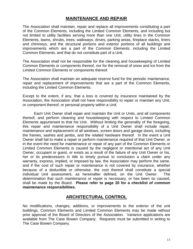#### **MAINTENANCE AND REPAIR**

The Association shall maintain, repair and replace all improvements constituting a part of the Common Elements, including the Limited Common Elements, and including but not limited to utility facilities serving more than one Unit, utility lines in the Common Elements, lawns, shrubs, trees, walkways, drives, parking areas, fireplace stacks, liners and chimneys, and the structural portions and exterior portions of all buildings and improvements which are a part of the Common Elements, including the Limited Common Elements, and that do not constitute part of a Unit.

The Association shall not be responsible for the cleaning and housekeeping of Limited Common Elements or components thereof, nor for the removal of snow and ice from the Limited Common Elements or components thereof.

The Association shall maintain an adequate reserve fund for the periodic maintenance, repair and replacement of improvements that are a part of the Common Elements, including the Limited Common Elements.

Except to the extent, if any, that a loss is covered by insurance maintained by the Association, the Association shall not have responsibility to repair or maintain any Unit, or component thereof, or personal property within a Unit.

Each Unit Owner shall repair and maintain the Unit or Units, and all components thereof, and perform cleaning and housekeeping with respect to Limited Common Elements appurtenant to that his Unit. Without limiting the generality of the foregoing, this repair and maintenance responsibility of a Unit Owner shall include repair, maintenance and replacement of all windows, screen doors and garage doors, including the frames, sashes and jambs, and the related hardware thereof. In the event a Unit Owner shall fail to make a repair or perform maintenance required of that Unit Owner, or in the event the need for maintenance or repair of any part of the Common Elements or Limited Common Elements is caused by the negligent or intentional act of any Unit Owner, occupant or guest, or exists as a result of the failure of any Unit Owner or his, her or its predecessors in title to timely pursue to conclusion a claim under any warranty, express, implied, or imposed by law, the Association may perform the same, and if the cost of such repair or maintenance is not covered by insurance, whether because of a deductible or otherwise, the cost thereof shall constitute a special individual Unit assessment, as hereinafter defined, on the Unit Owner. The determination that such maintenance or repair is necessary, or has been so caused, shall be made by the Board. **Please refer to page 20 for a checklist of common maintenance responsibilities.**

#### **ARCHITECTURAL CONTROL**

No modifications, changes, additions, or improvements to the exterior of the unit buildings, Common Elements and Limited Common Elements may be made without prior approval of the Board of Directors of the Association. Variance applications are available from The Case Bowen Company. Requests must be submitted in writing to The Case Bowen Company.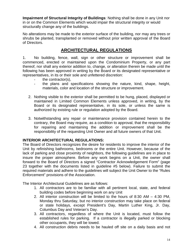**Impairment of Structural Integrity of Buildings**: Nothing shall be done in any Unit nor in or on the Common Elements which would impair the structural integrity or would structurally change any of the buildings.

No alterations may be made to the exterior surface of the building, nor may any trees or shrubs be planted, transplanted or removed without prior written approval of the Board of Directors.

# **ARCHITECTURAL REGULATIONS**

1. No building, fence, wall, sign or other structure or improvement shall be commenced, erected or maintained upon the Condominium Property, or any part thereof, nor shall any exterior addition to, change, or alteration therein be made until the following has been approved in writing by the Board or its designated representative or representatives, in its or their sole and unfettered discretion:

- the contractor(s),
- the plans and specifications showing the nature, kind, shape, height, materials, color and location of the structure or improvement.
- 2. Nothing visible to the exterior shall be permitted to be hung, placed, displayed or maintained in Limited Common Elements unless approved, in writing, by the Board or its designated representative, in its sole, or unless the same is authorized by existing rule or regulation adopted by the Board.
- 3. Notwithstanding any repair or maintenance provision contained herein to the contrary, the Board may require, as a condition to approval, that the responsibility for repairing and maintaining the addition or improvement shall be the responsibility of the requesting Unit Owner and all future owners of that Unit.

#### **INTERIOR ARCHITECTURAL REGULATIONS:**

The Board of Directors recognizes the desire for residents to improve the interior of the Unit by refinishing bathrooms, bedrooms or the entire Unit. However, because of the lack of parking and close proximity of neighbors, the following guidelines are in place to insure the proper atmosphere. Before any work begins on a Unit, the owner shall forward to the Board of Directors a signed "Contractor Acknowledgement Form" (page 23 together with the documents listed in guideline #5 below). Failure to submit the required materials and adhere to the guidelines will subject the Unit Owner to the "Rules Enforcement" provisions of the Association.

The Interior Architectural Guidelines are as follows:

- 1. All contractors are to be familiar with all pertinent local, state, and federal building codes before beginning work on any Unit
- 2. All interior construction will be limited to the hours of 8:30 AM 4:30 PM, Monday thru Saturday, but no interior construction may take place on federal or state holidays, except President's Day, Martin Luther King, Jr. Day, Columbus Day and Veteran's Day.
- 3. All contractors, regardless of where the Unit is located, must follow the established rules for parking. If a contractor is illegally parked or blocking other occupants, they will be towed.
- 4. All construction debris needs to be hauled off site on a daily basis and not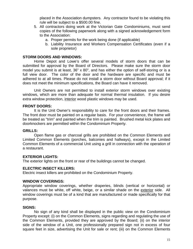placed in the Association dumpsters. Any contractor found to be violating this rule will be subject to a \$500.00 fine.

- 5. All contractors doing work at the Victorian Gate Condominiums, must send copies of the following paperwork along with a signed acknowledgement form to the Association:
	- a. Proper permits for the work being done (if applicable)
	- b. Liability Insurance and Workers Compensation Certificates (even if a sole proprietor)

#### **STORM DOORS AND WINDOWS:**

Home Depot and Lowe's offer several models of storm doors that can be submitted for approval by the Board of Directors. Please make sure the storm door model you submit is at least, 36" x 80", and has either the option of self-storing or is a full view door. The color of the door and the hardware are specific and must be adhered to at all times. Please do not install a storm door without Board approval; if it does not meet the minimum specifications, the Board can have it removed.

Unit Owners are not permitted to install exterior storm windows over existing windows, which are more than adequate for normal thermal insulation. If you desire extra window protection, interior wood plastic windows may be used.

#### **FRONT DOORS:**

It is the Unit Owner's responsibility to care for the front doors and their frames. The front door must be painted on a regular basis. For your convenience, the frame will be treated as "trim" and painted when the trim is painted. Brushed metal kick plates and doorknockers are permitted within the Condominium Property.

#### **GRILLS:**

Open flame gas or charcoal grills are prohibited on the Common Elements and Limited Common Elements (porches, balconies and hallways), except in the Limited Common Elements of a commercial Unit using a grill in connection with the operation of a restaurant.

#### **EXTERIOR LIGHTS:**

The exterior lights on the front or rear of the buildings cannot be changed.

#### **ELECTRIC INSECT KILLERS:**

Electric insect killers are prohibited on the Condominium Property.

#### **WINDOW COVERINGS:**

Appropriate window coverings, whether draperies, blinds (vertical or horizontal) or valances must be white, off white, beige, or a similar shade on the exterior side. All window coverings must be of a kind that are manufactured or made specifically for that purpose.

#### **SIGNS:**

No sign of any kind shall be displayed in the public view on the Condominium Property except: (i) on the Common Elements, signs regarding and regulating the use of the Common Elements, provided they are approved by the Board; (ii) on the interior side of the window of a Unit, one professionally prepared sign not in excess of four square feet in size, advertising the Unit for sale or rent; (iii) on the Common Elements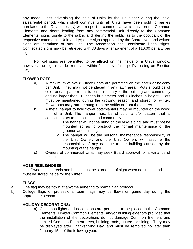any model Units advertising the sale of Units by the Developer during the initial sales/rental period, which shall continue until all Units have been sold to parties unrelated to the Developer; (iv) with respect to commercial Units only, on the Common Elements and doors leading from any commercial Unit directly to the Common Elements, signs visible to the public and alerting the public as to the occupant of the respective commercial Unit; and (v) other signs approved by the Board. No hand written signs are permitted of any kind. The Association shall confiscate illegal signs. Confiscated signs may be retrieved with 30 days after payment of a \$10.00 penalty per sign.

Political signs are permitted to be affixed on the inside of a Unit's window, however, the sign must be removed within 24 hours of the poll's closing on Election Day.

#### **FLOWER POTS:**

- a) A maximum of two (2) flower pots are permitted on the porch or balcony per Unit. They may not be placed in any lawn area. Pots should be of color and/or pattern that is complimentary to the building and community and no larger than 18 inches in diameter and 18 inches in height. Pots must be maintained during the growing season and stored for winter. Flowerpots **may not** be hung from the soffits or from the gutters.
- b) A metal hanger to hold flower pots/planters may be mounted on the wood trim of a Unit. The hanger must be of color and/or pattern that is complimentary to the building and community.
	- 1. The hanger will not be hung on the vinyl siding, and must not be mounted so as to obstruct the normal maintenance of the grounds and buildings.
	- 2. The hanger will be the personal maintenance responsibility of the Unit Owner, and the Unit Owners will assume the responsibility of any damage to the building caused by the mounting of the hanger.
- c) Owners of commercial Units may seek Board approval for a variance of this rule.

#### **HOSE REELS/HOSES**:

Unit Owners' hose reels and hoses must be stored out of sight when not in use and must be stored inside for the winter.

### **FLAGS:**

- a) One flag may be flown at anytime adhering to normal flag protocol.
- b) College flags or professional team flags may be flown on game day during the appropriate season.

#### **HOLIDAY DECORATIONS:**

a) Christmas lights and decorations are permitted to be placed in the Common Elements, Limited Common Elements, and/or building exteriors provided that the installation of the decorations do not damage Common Element and Limited Common Element trees, building roofs, gutters or siding. They may be displayed after Thanksgiving Day, and must be removed no later than January 15th of the following year.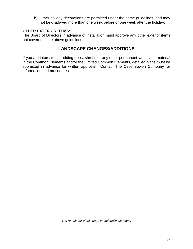b) Other holiday decorations are permitted under the same guidelines, and may not be displayed more than one week before or one week after the holiday.

#### **OTHER EXTERIOR ITEMS:**

The Board of Directors in advance of installation must approve any other exterior items not covered in the above guidelines.

# **LANDSCAPE CHANGES/ADDITIONS**

If you are interested in adding trees, shrubs or any other permanent landscape material in the Common Elements and/or the Limited Common Elements, detailed plans must be submitted in advance for written approval. Contact The Case Bowen Company for information and procedures.

*The remainder of this page intentionally left blank.*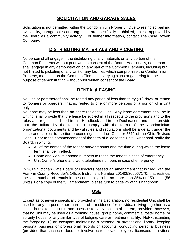# **SOLICITATION AND GARAGE SALES**

Solicitation is not permitted within the Condominium Property. Due to restricted parking availability, garage sales and tag sales are specifically prohibited, unless approved by the Board as a community activity. For further information, contact The Case Bowen Company.

#### **DISTRIBUTING MATERIALS AND PICKETING**

No person shall engage in the distributing of any materials on any portion of the Common Elements without prior written consent of the Board. Additionally, no person shall engage in any demonstration on any part of the Common Elements, including but not limited to picketing of any Unit or any facilities which compromise the Condominium Property, marching on the Common Elements, carrying signs or gathering for the purpose of demonstrating without prior written consent of the Board.

#### **RENTAL/LEASING**

No Unit or part thereof shall be rented any period of less than thirty (30) days; or rented to roomers or boarders, that is, rented to one or more persons of a portion of a Unit only.

No lease may be less than an entire residential Unit. Any lease agreement shall be in writing, shall provide that the lease be subject in all respects to the provisions and to the rules and regulations listed in this Handbook and in the Declaration, and shall provide that the failure by the tenant to comply with the terms of the Condominium organizational documents and lawful rules and regulations shall be a default under the lease and subject to eviction proceedings based on Chapter 5311 of the Ohio Revised Code. Prior to the commencement of the term of a lease the Unit Owner shall notify the Board, in writing:

- All of the names of the tenant and/or tenants and the time during which the lease term shall be in effect.
- Home and work telephone numbers to reach the tenant in case of emergency
- Unit Owner's phone and work telephone numbers in case of emergency

In 2014 Victorian Gate Board of Directors passed an amendment that is filed with the Franklin County Recorder's Office, Instrument Number 201405300067170, that restricts the total number of rentals in the community to be no more than 35% of 159 units (56 units). For a copy of the full amendment, please turn to page 25 of this handbook.

#### **USE**

Except as otherwise specifically provided in the Declaration, no residential Unit shall be used for any purpose other than that of a residence for individuals living together as a single housekeeping unit, and uses customarily incidental thereto, provided, however, that no Unit may be used as a rooming house, group home, commercial foster home, or sorority house, or any similar type of lodging, care or treatment facility. Notwithstanding the foregoing: (i) an occupant maintaining a personal or professional library, keeping personal business or professional records or accounts, conducting personal business (provided that such use does not involve customers, employees, licensees or invitees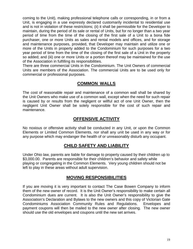coming to the Unit), making professional telephone calls or corresponding, in or from a Unit, is engaging in a use expressly declared customarily incidental to residential use and is not in violation of these restrictions; (ii) it shall be permissible for the Developer to maintain, during the period of its sale or rental of Units, but for no longer than a two year period of time from the time of the closing of the first sale of a Unit to a bona fide purchaser, one or more Units as sales and rental models and offices, and for storage and maintenance purposes, provided, that Developer may maintain and utilize one or more of the Units in property added to the Condominium for such purposes for a two year period of time from the time of the closing of the first sale of a Unit in the property so added; and (iii) one or more Units or a portion thereof may be maintained for the use of the Association in fulfilling its responsibilities.

There are three commercial Units in the Condominium. The Unit Owners of commercial Units are members of the Association. The commercial Units are to be used only for commercial or professional purposes.

### **COMMON WALLS**

The cost of reasonable repair and maintenance of a common wall shall be shared by the Unit Owners who make use of a common wall, except when the need for such repair is caused by or results from the negligent or willful act of one Unit Owner, then the negligent Unit Owner shall be solely responsible for the cost of such repair and maintenance.

# **OFFENSIVE ACTIVITY**

No noxious or offensive activity shall be conducted in any Unit, or upon the Common Elements or Limited Common Elements, nor shall any unit be used in any way or for any purpose which may endanger the health of or unreasonably disturb any occupant.

# **CHILD SAFETY AND LIABILITY**

Under Ohio law, parents are liable for damage to property caused by their children up to \$3,000.00. Parents are responsible for their children's behavior and safety while playing or congregating in the Common Elements. Very young children should not be left to play in these areas without adult supervision.

### **MOVING RESPONSIBILITIES**

If you are moving it is very important to contact The Case Bowen Company to inform them of the new owner of record. It is the Unit Owner's responsibility to make certain all Condominium dues are current. It is also the Unit Owner's responsibility to give the Association's Declaration and Bylaws to the new owners and this copy of Victorian Gate Condominiums Association Community Rules and Regulations. Envelopes and payment coupons will then be mailed to the new owner after closing. The new owner should use the old envelopes and coupons until the new set arrives.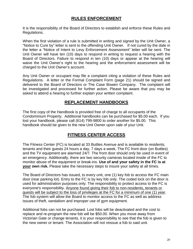# **RULES ENFORCEMENT**

It is the responsibility of the Board of Directors to establish and enforce these Rules and Regulations.

When the first violation of a rule is submitted in writing and signed by the Unit Owner, a "Notice to Cure by" letter is sent to the offending Unit Owner. If not cured by the date in the letter a "Notice of Intent to Levy Enforcement Assessment" letter will be sent. The Unit Owner will have ten (10) days to respond in writing to request a hearing with the Board of Directors. Failure to respond in ten (10) days or appear at the hearing will waive the Unit Owner's right to the hearing and the enforcement assessment will be charged to the Unit Owner's account.

Any Unit Owner or occupant may file a complaint citing a violation of these Rules and Regulations. A letter or the Formal Complaint Form (page 21) should be signed and delivered to the Board of Directors or The Case Bowen Company. The complaint will be investigated and processed for further action. Please be aware that you may be asked to attend a hearing to further explain your written complaint.

# **REPLACEMENT HANDBOOKS**

The first copy of the Handbook is provided free of charge to all occupants of the Condominium Property. Additional handbooks can be purchased for \$5.00 each. If you lost your handbook, please call (614) 799-9800 to order another for \$5.00. This handbook should be given to the new Unit Owner upon sale of your Unit.

### **FITNESS CENTER ACCESS**

The Fitness Center (FC) is located at 33 Buttles Avenue and is available to residents, tenants and their guests 24 hours a day, 7 days a week. The FC front door (on Buttles) and the TV equipment are alarmed 24/7. The front door should only be used in event of an emergency. Additionally, there are two security cameras located inside of the FC to monitor abuse of the equipment or break-ins. **Use of and your safety in the FC is at your own risk.** Please take the necessary steps to insure your safety at all times.

The Board of Directors has issued, to every unit, one (1) key fob to access the FC main door (rear parking lot). Entry to the FC is by key fob *only*. The coded lock on the door is used for administration purposes only. The responsibility to protect access to the FC is everyone's responsibility. Anyone found giving their fob to non-residents, tenants or guests will be subject to the loss of privileges at the FC for a minimum of one (1) year. The fob system will allow the Board to monitor access to the FC as well as address issues of theft, vandalism and improper use of gym equipment.

Additional fobs can not be purchased. Lost fobs will be deactivated and the cost to replace and re-program the new fob will be \$50.00. When you move away from Victorian Gate or change tenants, it is your responsibility to see that the fob is given to the new owner or tenant. The Association will not reissue a fob to said unit.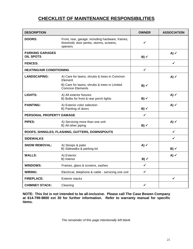# **CHECKLIST OF MAINTENANCE RESPONSIBILITIES**

| <b>DESCRIPTION</b>                             |                                                                                                        | <b>OWNER</b>      | <b>ASSOCIATION</b> |
|------------------------------------------------|--------------------------------------------------------------------------------------------------------|-------------------|--------------------|
| <b>DOORS:</b>                                  | Front, rear, garage: including hardware, frames,<br>threshold, door jambs, storms, screens,<br>openers | ✓                 |                    |
| <b>PARKING GARAGES</b><br><b>OIL SPOTS</b>     |                                                                                                        | $B)$ $\checkmark$ | A) $\checkmark$    |
| <b>FENCES:</b>                                 |                                                                                                        |                   | $\checkmark$       |
| <b>HEATING/AIR CONDITIONING</b>                |                                                                                                        | $\checkmark$      |                    |
| <b>LANDSCAPING:</b>                            | A) Care for lawns, shrubs & trees in Common<br>Element                                                 |                   | A) $\checkmark$    |
|                                                | B) Care for lawns, shrubs & trees in Limited<br><b>Common Elements</b>                                 | $B)$ $\checkmark$ |                    |
| <b>LIGHTS:</b>                                 | A) All exterior fixtures<br>B) Bulbs for front & rear porch lights                                     | $B) \checkmark$   | A) $\checkmark$    |
| <b>PAINTING:</b>                               | A) Exterior color selection<br>B) Painting of doors                                                    | $B)$ $\checkmark$ | A) $\checkmark$    |
| PERSONAL PROPERTY DAMAGE                       |                                                                                                        | $\checkmark$      |                    |
| PIPES:                                         | A) Servicing more than one unit<br>B) All other piping                                                 | $B) \checkmark$   | A) $\checkmark$    |
| ROOFS, SHINGLES, FLASHING, GUTTERS, DOWNSPOUTS |                                                                                                        |                   | ✓                  |
| <b>SIDEWALKS</b>                               |                                                                                                        |                   | ✓                  |
| <b>SNOW REMOVAL:</b>                           | A) Stoops & patio<br>B) Sidewalks & parking lot                                                        | A) $\checkmark$   | $B)$ $\checkmark$  |
| <b>WALLS:</b>                                  | A) Exterior<br>B) Interior                                                                             | $B)$ $\checkmark$ | A) $\checkmark$    |
| <b>WINDOWS:</b>                                | Frames, glass & screens, sashes                                                                        | $\checkmark$      |                    |
| <b>WIRING:</b>                                 | Electrical, telephone & cable - servicing one unit                                                     | $\checkmark$      |                    |
| <b>FIREPLACE:</b>                              | <b>Exterior stacks</b>                                                                                 |                   | $\checkmark$       |
| <b>CHIMNEY STACK:</b>                          | Cleaning                                                                                               | ✓                 |                    |

**NOTE: This list is not intended to be all-inclusive. Please call The Case Bowen Company at 614-799-9800 ext 30 for further information. Refer to warranty manual for specific items.**

*The remainder of this page intentionally left blank.*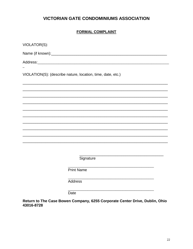# **VICTORIAN GATE CONDOMINIUMS ASSOCIATION**

#### **FORMAL COMPLAINT**

| VIOLATOR(S):                                                |                   |  |  |  |
|-------------------------------------------------------------|-------------------|--|--|--|
|                                                             |                   |  |  |  |
| Address: Address:                                           |                   |  |  |  |
| VIOLATION(S): (describe nature, location, time, date, etc.) |                   |  |  |  |
|                                                             |                   |  |  |  |
|                                                             |                   |  |  |  |
|                                                             |                   |  |  |  |
|                                                             |                   |  |  |  |
|                                                             |                   |  |  |  |
|                                                             |                   |  |  |  |
|                                                             |                   |  |  |  |
|                                                             |                   |  |  |  |
|                                                             | Signature         |  |  |  |
|                                                             | <b>Print Name</b> |  |  |  |
|                                                             | Address           |  |  |  |
|                                                             | Date              |  |  |  |

Return to The Case Bowen Company, 6255 Corporate Center Drive, Dublin, Ohio 43016-8728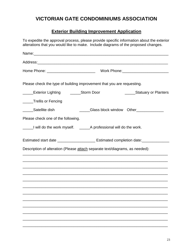# **VICTORIAN GATE CONDOMINIUMS ASSOCIATION**

# **Exterior Building Improvement Application**

| To expedite the approval process, please provide specific information about the exterior<br>alterations that you would like to make. Include diagrams of the proposed changes. |
|--------------------------------------------------------------------------------------------------------------------------------------------------------------------------------|
|                                                                                                                                                                                |
|                                                                                                                                                                                |
|                                                                                                                                                                                |
| Please check the type of building improvement that you are requesting.                                                                                                         |
| ______Exterior Lighting _______Storm Door<br>______Statuary or Planters                                                                                                        |
| _____Trellis or Fencing                                                                                                                                                        |
| Satellite dish<br>Glass block window Other____________                                                                                                                         |
| Please check one of the following.                                                                                                                                             |
| ______I will do the work myself. ______________A professional will do the work.                                                                                                |
| Estimated start date ________________________ Estimated completion date:________                                                                                               |
| Description of alteration (Please attach separate text/diagrams, as needed):                                                                                                   |
|                                                                                                                                                                                |
|                                                                                                                                                                                |
|                                                                                                                                                                                |
|                                                                                                                                                                                |
|                                                                                                                                                                                |
|                                                                                                                                                                                |
|                                                                                                                                                                                |
|                                                                                                                                                                                |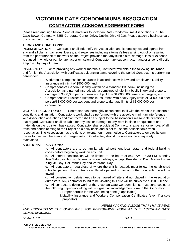# **VICTORIAN GATE CONDOMINIUMS ASSOCIATION CONTRACTOR ACKNOWLEDGEMENT FORM**

Please read and sign below. Send all materials to Victorian Gate Condominiums Association, c/o The Case Bowen Company, 6255 Corporate Center Drive, Dublin, Ohio 43016. Please attach a business card or contact information.

#### **TERMS AND CONDITIONS:**

INDEMNIFICATION: Contractor shall indemnify the Association and its employees and agents from any and all claims, damages, losses, and expenses including attorney's fees arising out of or resulting from the performance of the work on the Project provided that any such claim, damage, loss or expense is caused in whole or part by any act or omission of Contractor, any subcontractor, and/or anyone directly employed by any of them.

INSURANCE: Prior to providing any work or materials, Contractor will obtain the following insurance and furnish the Association with certificates evidencing same covering the period Contractor is performing hereunder:

- a. Workmen's compensation insurance in accordance with law and Employer's Liability Insurance with limit of \$500,000; and
- b. Comprehensive General Liability written on a standard ISO form, including the Association as a named insured, with a combined single limit bodily injury and property damage of \$500,000 per occurrence subject to a \$1,000,000 general aggregate; and
- c. Comprehensive Business Automobile Insurance with bodily injury limits of \$1,000,000 per person/\$1,000,000 per accident and property damage limits of \$1,000,000 per occurrence.

WORKSITE CONDITIONS: Contractor has thoroughly acquainted itself with the worksite to ascertain conditions and limitation. Contractor's work shall be performed with the absolute minimum interference with Association operations and Contractor shall be subject to the Association's reasonable directions in that regard. Contractor shall be liable for any loss or damage to any work in place or equipment and materials on the job site it has caused. Contractor shall provide at Contractor's expense for removal of all trash and debris relating to the Project on a daily basis and is not to use the Association's trash receptacles. The Association has the right, on twenty-four hours notice to Contractor, to employ its own forces to maintain the area and charge costs to Contractor, should the area not be adequately maintained.

#### ADDITIONAL PROVISIONS:

a. All contractors are to be familiar with all pertinent local, state, and federal building codes before beginning work on any unit

b. All interior construction will be limited to the hours of 8:30 AM – 4:30 PM, Monday thru Saturday, but no federal or state holidays, except Presidents' Day, Martin Luther King, Jr. Day, Columbus Day and Veterans' Day.

c. All contractors, regardless of where the unit is located, must follow the established rules for parking. If a contractor is illegally parked or blocking other residents, he will be towed

d. All construction debris needs to be hauled off site and not placed in the Association dumpsters. Any contractor found to be violating this rule will be subject to a \$500.00 fine

e. All contractors doing work at the Victorian Gate Condominiums, must send copies of the following paperwork along with a signed acknowledgement form to the Association:

- i. Proper permits for the work being done (if applicable)
- ii. Liability Insurance and Workers Compensation Certificates (even if a sole proprietor)

*I, , HEREBY ACKNOWLEDGE THAT I HAVE READ AND UNDERSTAND THE GUIDELINES FOR PERFORMING WORK AT THE VICTORIAN GATE CONDOMINIUMSS.* 

*SIGNATURE\_\_\_\_\_\_\_\_\_\_\_\_\_\_\_\_\_\_\_\_\_\_\_\_\_\_\_\_\_\_\_\_\_ DATE\_\_\_\_\_\_\_\_\_\_\_\_\_\_\_\_\_\_\_*

**FOR OFFICE USE ONLY:**

\_\_\_\_ SIGNED CONTRACTOR FORM \_\_\_\_\_ INSURANCE CERTIFICATE \_\_\_\_\_\_\_ WORKER'S COMP CERTIFICATE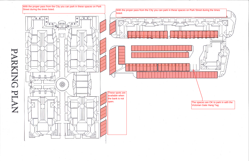

PARKING PLAN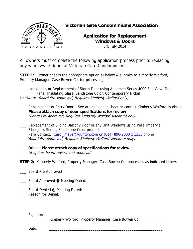

# **Victorian Gate Condominiums Association**

**Application for Replacement Windows & Doors**  Eff. July 2014

All owners must complete the following application process prior to replacing any windows or doors at Victorian Gate Condominiums.

**STEP 1:** Owner checks the appropriate option(s) below & submits to Kimberly Wolford, Property Manager, Case Bowen Co. for processing.

\_\_\_ Installation or Replacement of Storm Door using Andersen Series 4000 Full View, Dual Pane, Insulating Glass, Sandstone Color, Contemporary Nickel Hardware (Board Pre-Approved, Requires Kimberly Wolford only)

- \_\_\_ Replacement of Entry Door See attached spec sheet or contact Kimberly Wolford to obtain **Please attach copy of door specifications for review** (Board Pre-Approved, Requires Kimberly Wolford signature only)
- \_\_\_ Replacement of Sliding Balcony Door or any Unit Windows using Pella Impervia Fiberglass Series, Sandstone Color product Pella Contact: Carol\_meyer@gunton.com or (614) 890-2000 x 1335 phone (Board Pre-Approved, Requires Kimberly Wolford signature only)
- \_\_\_ Other **Please attach copy of specifications for review**  (Requires board review and approval)
- **STEP 2:** Kimberly Wolford, Property Manager, Case Bowen Co. processes as indicated below.
- \_\_\_ Board Pre-Approved
- **EXECUTE:** Board Approved @ Meeting Dated:
- Board Denied @ Meeting Dated: Reason for Denial:

Signature:

Kimberly Wolford, Property Manager, Case Bowen Co.

Date: \_\_\_\_\_\_\_\_\_\_\_\_\_\_\_\_\_\_\_\_\_\_\_\_\_\_\_\_\_\_\_\_\_\_\_\_\_\_\_\_\_\_\_\_\_\_\_\_\_\_\_\_\_\_\_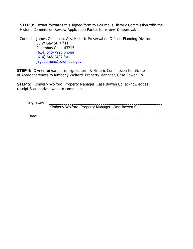**STEP 3:** Owner forwards this signed form to Columbus Historic Commission with the Historic Commission Review Application Packet for review & approval.

Contact: James Goodman, Asst Historic Preservation Officer, Planning Division 50 W Gay St,  $4^{\text{th}}$  Fl Columbus Ohio, 43215 (614) 645-7920 phone (614) 645-2487 fax jagoodman@columbus.gov

**STEP 4:** Owner forwards this signed form & Historic Commission Certificate of Appropriateness to Kimberly Wolford, Property Manager, Case Bowen Co.

**STEP 5:** Kimberly Wolford, Property Manager, Case Bowen Co. acknowledges receipt & authorizes work to commence.

Signature:

Kimberly Wolford, Property Manager, Case Bowen Co.

Date: \_\_\_\_\_\_\_\_\_\_\_\_\_\_\_\_\_\_\_\_\_\_\_\_\_\_\_\_\_\_\_\_\_\_\_\_\_\_\_\_\_\_\_\_\_\_\_\_\_\_\_\_\_\_\_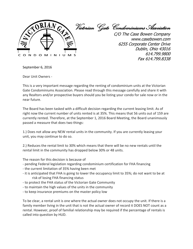

Victorian Gate Condominiums Association

C/O The Case Bowen Company www.casebowen.com 6255 Corporate Center Drive Dublin, Ohio 43016 614.799.9800 Fax 614.799.8338

September 6, 2016

Dear Unit Owners -

This is a very important message regarding the renting of condominium units at the Victorian Gate Condominiums Association. Please read through this message carefully and share it with any Realtors and/or prospective buyers should you be listing your condo for sale now or in the near future.

The Board has been tasked with a difficult decision regarding the current leasing limit. As of right now the current number of units rented is at 35%. This means that 56 units out of 159 are currently rented. Therefore, at the September 1, 2016 Board Meeting, the Board unanimously passed a measure that does two things:

1.) Does not allow any NEW rental units in the community. If you are currently leasing your unit, you may continue to do so.

2.) Reduces the rental limit to 30% which means that there will be no new rentals until the rental limit in the community has dropped below 30% or 48 units.

The reason for this decision is because of

- pending Federal legislation regarding condominium certification for FHA financing
- the current limitation of 35% having been met
- it is anticipated that FHA is going to lower the occupancy limit to 35%; do not want to be at risk of losing FHA financing status
- to protect the FHA status of the Victorian Gate Community
- to maintain the high values of the units in the community
- to keep insurance premiums on the master policy low

To be clear, a rental unit is one where the actual owner does not occupy the unit. If there is a family member living in the unit that is not the actual owner of record it DOES NOT count as a rental. However, proof of familial relationship may be required if the percentage of rentals is called into question by HUD.